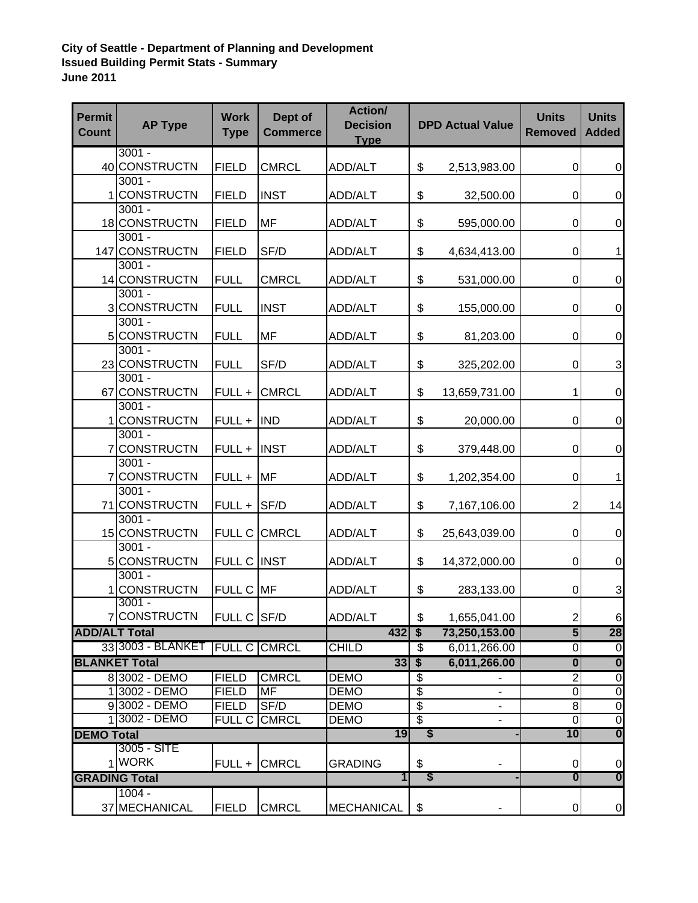## **City of Seattle - Department of Planning and Development Issued Building Permit Stats - Summary June 2011**

| <b>Permit</b><br><b>Count</b> | <b>AP Type</b>                   | <b>Work</b><br><b>Type</b> | Dept of<br><b>Commerce</b> | Action/<br><b>Decision</b><br><b>Type</b> |         | <b>DPD Actual Value</b> | <b>Units</b><br><b>Removed</b> | <b>Units</b><br><b>Added</b>           |
|-------------------------------|----------------------------------|----------------------------|----------------------------|-------------------------------------------|---------|-------------------------|--------------------------------|----------------------------------------|
|                               | $3001 -$                         |                            |                            |                                           |         |                         |                                |                                        |
|                               | 40 CONSTRUCTN                    | <b>FIELD</b>               | <b>CMRCL</b>               | ADD/ALT                                   | \$      | 2,513,983.00            | $\mathbf 0$                    | $\mathbf 0$                            |
|                               | $3001 -$                         |                            |                            |                                           |         |                         |                                |                                        |
| 1.                            | <b>CONSTRUCTN</b><br>$3001 -$    | <b>FIELD</b>               | <b>INST</b>                | ADD/ALT                                   | \$      | 32,500.00               | $\pmb{0}$                      | $\mathbf 0$                            |
|                               | 18 CONSTRUCTN                    | <b>FIELD</b>               | MF                         | ADD/ALT                                   | \$      | 595,000.00              | $\pmb{0}$                      | $\mathbf 0$                            |
|                               | $3001 -$                         |                            |                            |                                           |         |                         |                                |                                        |
|                               | 147 CONSTRUCTN                   | <b>FIELD</b>               | SF/D                       | ADD/ALT                                   | \$      | 4,634,413.00            | 0                              | 1                                      |
|                               | $3001 -$                         |                            |                            |                                           |         |                         |                                |                                        |
|                               | 14 CONSTRUCTN                    | <b>FULL</b>                | <b>CMRCL</b>               | ADD/ALT                                   | \$      | 531,000.00              | $\boldsymbol{0}$               | $\boldsymbol{0}$                       |
|                               | $3001 -$                         |                            |                            |                                           |         |                         |                                |                                        |
|                               | 3 CONSTRUCTN                     | <b>FULL</b>                | <b>INST</b>                | <b>ADD/ALT</b>                            | \$      | 155,000.00              | $\boldsymbol{0}$               | $\boldsymbol{0}$                       |
|                               | $3001 -$                         |                            |                            |                                           |         |                         |                                |                                        |
| 5 <sub>5</sub>                | <b>CONSTRUCTN</b>                | <b>FULL</b>                | MF                         | ADD/ALT                                   | \$      | 81,203.00               | $\boldsymbol{0}$               | $\boldsymbol{0}$                       |
|                               | $3001 -$                         |                            |                            |                                           |         |                         |                                |                                        |
|                               | 23 CONSTRUCTN<br>$3001 -$        | <b>FULL</b>                | SF/D                       | ADD/ALT                                   | \$      | 325,202.00              | $\mathbf 0$                    | 3                                      |
|                               | 67 CONSTRUCTN                    | FULL +                     | <b>CMRCL</b>               | ADD/ALT                                   | \$      | 13,659,731.00           | 1                              | $\boldsymbol{0}$                       |
|                               | $3001 -$                         |                            |                            |                                           |         |                         |                                |                                        |
|                               | <b>CONSTRUCTN</b>                | FULL +                     | <b>IND</b>                 | ADD/ALT                                   | \$      | 20,000.00               | $\pmb{0}$                      | $\boldsymbol{0}$                       |
|                               | $3001 -$                         |                            |                            |                                           |         |                         |                                |                                        |
|                               | 7 CONSTRUCTN                     | FULL +                     | <b>INST</b>                | ADD/ALT                                   | \$      | 379,448.00              | $\boldsymbol{0}$               | $\mathbf 0$                            |
|                               | $3001 -$                         |                            |                            |                                           |         |                         |                                |                                        |
| $\overline{7}$                | <b>CONSTRUCTN</b>                | FULL +                     | <b>MF</b>                  | ADD/ALT                                   | \$      | 1,202,354.00            | $\boldsymbol{0}$               | 1                                      |
|                               | $3001 -$                         |                            |                            |                                           |         |                         |                                |                                        |
|                               | 71 CONSTRUCTN                    | FULL +                     | SF/D                       | <b>ADD/ALT</b>                            | \$      | 7,167,106.00            | 2                              | 14                                     |
|                               | $3001 -$                         |                            |                            |                                           |         |                         |                                |                                        |
|                               | 15 CONSTRUCTN                    |                            | FULL C CMRCL               | <b>ADD/ALT</b>                            | \$      | 25,643,039.00           | 0                              | $\mathbf 0$                            |
|                               | $3001 -$<br>5 CONSTRUCTN         | FULL C INST                |                            | ADD/ALT                                   | \$      | 14,372,000.00           | $\boldsymbol{0}$               | $\boldsymbol{0}$                       |
|                               | $3001 -$                         |                            |                            |                                           |         |                         |                                |                                        |
|                               | <b>CONSTRUCTN</b>                | FULL C MF                  |                            | ADD/ALT                                   | \$      | 283,133.00              | $\mathbf 0$                    | 3                                      |
|                               | $3001 -$                         |                            |                            |                                           |         |                         |                                |                                        |
|                               | 7 CONSTRUCTN                     | FULL C SF/D                |                            | ADD/ALT                                   | \$      | 1,655,041.00            | $\mathbf{2}$                   | 6                                      |
| <b>ADD/ALT Total</b>          |                                  |                            |                            | $432$ \$                                  |         | 73,250,153.00           | 5                              | 28                                     |
|                               | 33 3003 - BLANKET                | <b>FULL C CMRCL</b>        |                            | <b>CHILD</b>                              | S       | 6,011,266.00            | $\overline{\mathsf{o}}$        | $\overline{0}$                         |
|                               | <b>BLANKET Total</b>             |                            |                            | 335                                       |         | 6,011,266.00            | $\overline{\mathbf{0}}$        | $\overline{\mathbf{0}}$                |
|                               | 8 3002 - DEMO                    | <b>FIELD</b>               | <b>CMRCL</b>               | <b>DEMO</b>                               | \$      |                         | $\overline{2}$                 | $\overline{0}$                         |
|                               | 1 3002 - DEMO                    | <b>FIELD</b>               | MF                         | <b>DEMO</b>                               | \$      |                         | $\pmb{0}$                      | $\overline{0}$                         |
|                               | 93002 - DEMO                     | <b>FIELD</b>               | SF/D                       | DEMO                                      | \$      |                         | $\overline{8}$                 | $\overline{0}$                         |
|                               | 1 3002 - DEMO                    | FULL C                     | <b>CMRCL</b>               | <b>DEMO</b>                               | \$      | ٠                       | $\overline{0}$                 | $\overline{0}$                         |
| <b>DEMO Total</b>             |                                  |                            | 19                         | S                                         |         | 10                      | $\overline{\mathbf{0}}$        |                                        |
|                               | 3005 - SITE<br>1 WORK            |                            |                            |                                           |         |                         |                                |                                        |
|                               |                                  |                            | FULL + CMRCL               | <b>GRADING</b><br>$\mathbf{1}$            | \$<br>S |                         | 0<br>$\boldsymbol{0}$          | $\mathbf 0$<br>$\overline{\mathbf{0}}$ |
|                               | <b>GRADING Total</b><br>$1004 -$ |                            |                            |                                           |         |                         |                                |                                        |
|                               | 37 MECHANICAL                    | <b>FIELD</b>               | <b>CMRCL</b>               | <b>MECHANICAL</b>                         | \$      |                         | $\pmb{0}$                      | $\overline{0}$                         |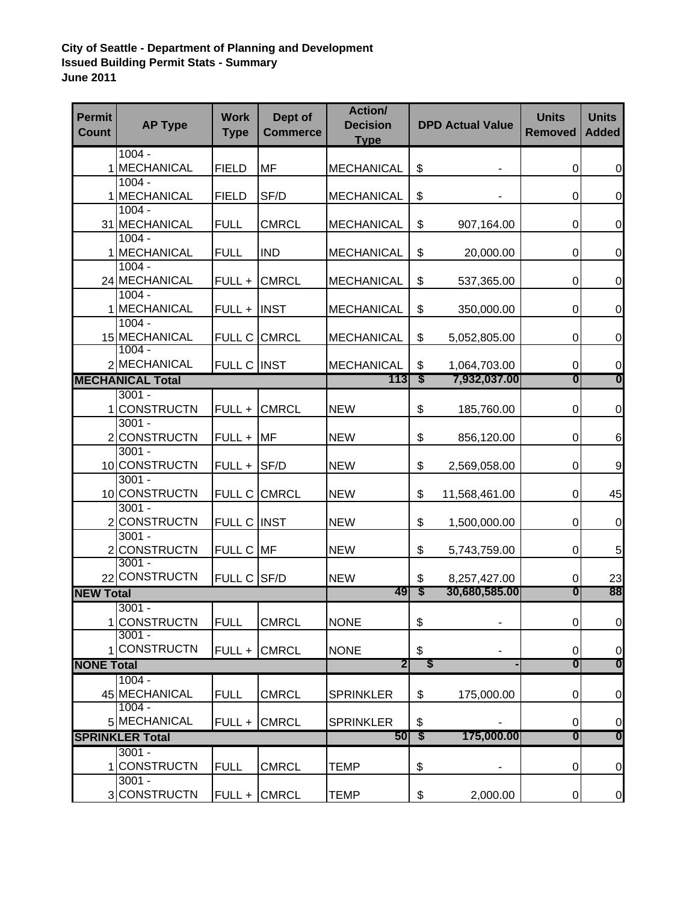## **City of Seattle - Department of Planning and Development Issued Building Permit Stats - Summary June 2011**

| <b>Permit</b><br><b>Count</b>                                    | <b>AP Type</b>                      | <b>Work</b><br><b>Type</b> | Dept of<br><b>Commerce</b> | Action/<br><b>Decision</b><br><b>Type</b> |            | <b>DPD Actual Value</b>       | <b>Units</b><br><b>Removed</b> | <b>Units</b><br><b>Added</b> |
|------------------------------------------------------------------|-------------------------------------|----------------------------|----------------------------|-------------------------------------------|------------|-------------------------------|--------------------------------|------------------------------|
|                                                                  | $1004 -$                            |                            |                            |                                           |            |                               |                                |                              |
|                                                                  | 1 MECHANICAL                        | <b>FIELD</b>               | MF                         | <b>MECHANICAL</b>                         | \$         |                               | $\boldsymbol{0}$               | $\boldsymbol{0}$             |
|                                                                  | $1004 -$<br>1 MECHANICAL            | <b>FIELD</b>               | SF/D                       | <b>MECHANICAL</b>                         | \$         |                               | 0                              | $\pmb{0}$                    |
|                                                                  | $1004 -$                            |                            |                            |                                           |            |                               |                                |                              |
|                                                                  | 31 MECHANICAL                       | <b>FULL</b>                | <b>CMRCL</b>               | <b>MECHANICAL</b>                         | \$         | 907,164.00                    | 0                              | $\mathbf 0$                  |
|                                                                  | $1004 -$                            |                            |                            |                                           |            |                               |                                |                              |
|                                                                  | 1 MECHANICAL                        | <b>FULL</b>                | <b>IND</b>                 | <b>MECHANICAL</b>                         | \$         | 20,000.00                     | $\pmb{0}$                      | $\mathbf 0$                  |
|                                                                  | $1004 -$                            |                            |                            |                                           |            |                               |                                |                              |
|                                                                  | 24 MECHANICAL<br>$1004 -$           | FULL +                     | <b>CMRCL</b>               | <b>MECHANICAL</b>                         | \$         | 537,365.00                    | $\boldsymbol{0}$               | $\boldsymbol{0}$             |
|                                                                  | 1 MECHANICAL                        | FULL +                     | <b>INST</b>                | <b>MECHANICAL</b>                         | \$         | 350,000.00                    | $\boldsymbol{0}$               | $\boldsymbol{0}$             |
|                                                                  | $1004 -$                            |                            |                            |                                           |            |                               |                                |                              |
|                                                                  | 15 MECHANICAL                       | FULL C                     | <b>CMRCL</b>               | <b>MECHANICAL</b>                         | \$         | 5,052,805.00                  | 0                              | $\mathbf 0$                  |
|                                                                  | $1004 -$                            |                            |                            |                                           |            |                               |                                |                              |
|                                                                  | 2 MECHANICAL                        | FULL C INST                |                            | <b>MECHANICAL</b>                         | \$         | 1,064,703.00                  | $\pmb{0}$                      | 0<br>$\boldsymbol{0}$        |
|                                                                  | <b>MECHANICAL Total</b><br>$3001 -$ |                            |                            | 113                                       | S          | 7,932,037.00                  | $\boldsymbol{0}$               |                              |
| 1                                                                | <b>CONSTRUCTN</b>                   | FULL +                     | <b>CMRCL</b>               | <b>NEW</b>                                | \$         | 185,760.00                    | 0                              | $\mathbf 0$                  |
|                                                                  | $3001 -$                            |                            |                            |                                           |            |                               |                                |                              |
|                                                                  | 2 CONSTRUCTN                        | FULL +                     | <b>MF</b>                  | <b>NEW</b>                                | \$         | 856,120.00                    | 0                              | $\,6$                        |
|                                                                  | $3001 -$                            |                            |                            |                                           |            |                               |                                |                              |
|                                                                  | 10 CONSTRUCTN                       | FULL +                     | SF/D                       | <b>NEW</b>                                | \$         | 2,569,058.00                  | $\boldsymbol{0}$               | $\boldsymbol{9}$             |
|                                                                  | $3001 -$                            |                            |                            |                                           |            |                               |                                |                              |
|                                                                  | 10 CONSTRUCTN<br>$3001 -$           |                            | FULL C CMRCL               | <b>NEW</b>                                | \$         | 11,568,461.00                 | 0                              | 45                           |
|                                                                  | 2 CONSTRUCTN                        | FULL C INST                |                            | <b>NEW</b>                                | \$         | 1,500,000.00                  | 0                              | $\mathbf 0$                  |
|                                                                  | $3001 -$                            |                            |                            |                                           |            |                               |                                |                              |
|                                                                  | 2 CONSTRUCTN                        | FULL C MF                  |                            | <b>NEW</b>                                | \$         | 5,743,759.00                  | 0                              | 5                            |
|                                                                  | $3001 -$                            |                            |                            |                                           |            |                               |                                |                              |
|                                                                  | 22 CONSTRUCTN                       | FULL C SF/D                |                            | <b>NEW</b>                                | \$         | 8,257,427.00                  | 0                              | 23                           |
| <b>NEW Total</b>                                                 |                                     |                            |                            | 49                                        | S          | 30,680,585.00                 | $\boldsymbol{0}$               | 88                           |
|                                                                  | $3001 -$<br>1 CONSTRUCTN            | <b>FULL</b>                | <b>CMRCL</b>               | <b>NONE</b>                               | \$         | $\overline{\phantom{a}}$      | $\pmb{0}$                      | $\overline{0}$               |
|                                                                  | $3001 -$                            |                            |                            |                                           |            |                               |                                |                              |
|                                                                  | <b>CONSTRUCTN</b>                   | FULL +                     | <b>CMRCL</b>               | <b>NONE</b>                               | \$         |                               | 0                              | $\pmb{0}$                    |
| <b>NONE Total</b>                                                |                                     |                            | $\overline{\mathbf{2}}$    | \$                                        |            | $\boldsymbol{0}$              | $\overline{\mathbf{0}}$        |                              |
|                                                                  | $1004 -$                            |                            |                            |                                           |            |                               |                                |                              |
|                                                                  | 45 MECHANICAL                       | <b>FULL</b>                | <b>CMRCL</b>               | <b>SPRINKLER</b>                          | \$         | 175,000.00                    | 0                              | $\pmb{0}$                    |
|                                                                  | $1004 -$                            |                            |                            |                                           |            |                               |                                |                              |
| 5 MECHANICAL<br><b>CMRCL</b><br>FULL +<br><b>SPRINKLER Total</b> |                                     |                            | <b>SPRINKLER</b><br>50     | \$<br>$\boldsymbol{\mathsf{s}}$           | 175,000.00 | $\pmb{0}$<br>$\boldsymbol{0}$ | $\frac{0}{0}$                  |                              |
| $3001 -$                                                         |                                     |                            |                            |                                           |            |                               |                                |                              |
| 1                                                                | <b>CONSTRUCTN</b>                   | <b>FULL</b>                | <b>CMRCL</b>               | <b>TEMP</b>                               | \$         |                               | $\pmb{0}$                      | $\pmb{0}$                    |
|                                                                  | $3001 -$                            |                            |                            |                                           |            |                               |                                |                              |
|                                                                  | 3 CONSTRUCTN                        | FULL +                     | <b>CMRCL</b>               | <b>TEMP</b>                               | \$         | 2,000.00                      | $\pmb{0}$                      | $\overline{0}$               |